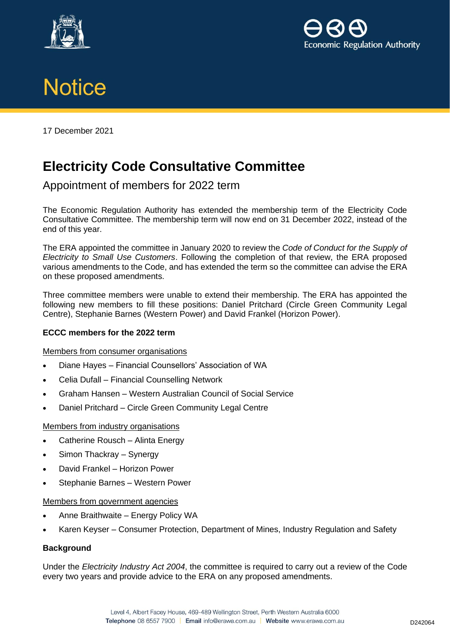





17 December 2021

# **Electricity Code Consultative Committee**

## Appointment of members for 2022 term

The Economic Regulation Authority has extended the membership term of the Electricity Code Consultative Committee. The membership term will now end on 31 December 2022, instead of the end of this year.

The ERA appointed the committee in January 2020 to review the *Code of Conduct for the Supply of Electricity to Small Use Customers*. Following the completion of that review, the ERA proposed various amendments to the Code, and has extended the term so the committee can advise the ERA on these proposed amendments.

Three committee members were unable to extend their membership. The ERA has appointed the following new members to fill these positions: Daniel Pritchard (Circle Green Community Legal Centre), Stephanie Barnes (Western Power) and David Frankel (Horizon Power).

### **ECCC members for the 2022 term**

### Members from consumer organisations

- Diane Hayes Financial Counsellors' Association of WA
- Celia Dufall Financial Counselling Network
- Graham Hansen Western Australian Council of Social Service
- Daniel Pritchard Circle Green Community Legal Centre

### Members from industry organisations

- Catherine Rousch Alinta Energy
- Simon Thackray Synergy
- David Frankel Horizon Power
- Stephanie Barnes Western Power

### Members from government agencies

- Anne Braithwaite Energy Policy WA
- Karen Keyser Consumer Protection, Department of Mines, Industry Regulation and Safety

### **Background**

Under the *Electricity Industry Act 2004*, the committee is required to carry out a review of the Code every two years and provide advice to the ERA on any proposed amendments.